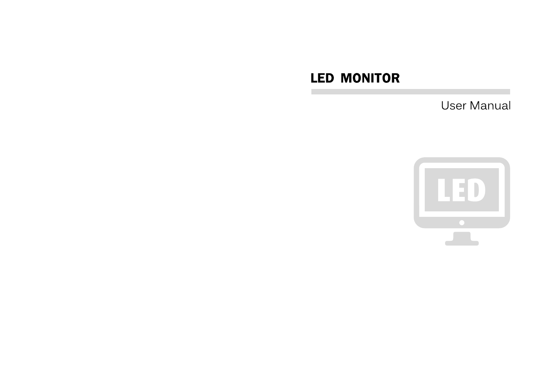# **LED MONITOR**

**User Manual** 

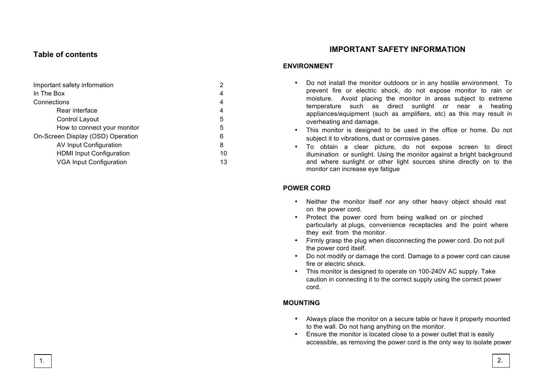## **Table of contents**

| Important safety information      | 2  |
|-----------------------------------|----|
| In The Box                        | 4  |
| Connections                       | 4  |
| Rear interface                    | 4  |
| Control Layout                    | 5  |
| How to connect your monitor       | 5  |
| On-Screen Display (OSD) Operation | 6  |
| AV Input Configuration            | 8  |
| <b>HDMI Input Configuration</b>   | 10 |
| <b>VGA Input Configuration</b>    | 13 |

## **IMPORTANT SAFETY INFORMATION**

#### **ENVIRONMENT**

- Do not install the monitor outdoors or in any hostile environment. To prevent fire or electric shock, do not expose monitor to rain or moisture. Avoid placing the monitor in areas subject to extreme temperature such as direct sunlight or near a heating appliances/equipment (such as amplifiers, etc) as this may result in overheating and damage.
- This monitor is designed to be used in the office or home. Do not subject it to vibrations, dust or corrosive gases.
- To obtain a clear picture, do not expose screen to direct illumination or sunlight. Using the monitor against a bright background and where sunlight or other light sources shine directly on to the monitor can increase eye fatigue

#### **POWER CORD**

- Neither the monitor itself nor any other heavy object should rest on the power cord.
- Protect the power cord from being walked on or pinched particularly at plugs, convenience receptacles and the point where they exit from the monitor.
- Firmly grasp the plug when disconnecting the power cord. Do not pull the power cord itself.
- Do not modify or damage the cord. Damage to a power cord can cause fire or electric shock.
- This monitor is designed to operate on 100-240V AC supply. Take caution in connecting it to the correct supply using the correct power cord.

## **MOUNTING**

- Always place the monitor on a secure table or have it properly mounted to the wall. Do not hang anything on the monitor.
- Ensure the monitor is located close to a power outlet that is easily accessible, as removing the power cord is the only way to isolate power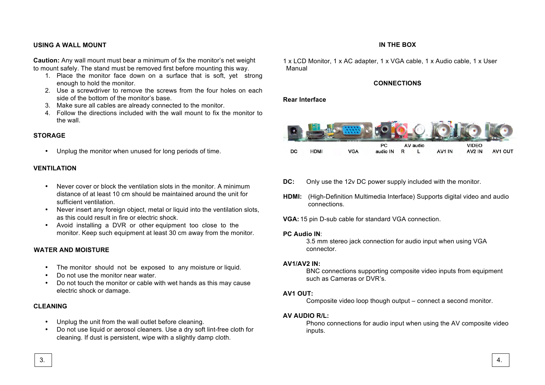## **USING A WALL MOUNT**

**Caution:** Any wall mount must bear a minimum of 5x the monitor's net weight to mount safely. The stand must be removed first before mounting this way.

- 1. Place the monitor face down on a surface that is soft, yet strong enough to hold the monitor.
- 2. Use a screwdriver to remove the screws from the four holes on each side of the bottom of the monitor's base.
- 3. Make sure all cables are already connected to the monitor.
- 4. Follow the directions included with the wall mount to fix the monitor to the wall.

#### **STORAGE**

• Unplug the monitor when unused for long periods of time.

#### **VENTILATION**

- Never cover or block the ventilation slots in the monitor. A minimum distance of at least 10 cm should be maintained around the unit for sufficient ventilation.
- Never insert any foreign object, metal or liquid into the ventilation slots, as this could result in fire or electric shock.
- Avoid installing a DVR or other equipment too close to the monitor. Keep such equipment at least 30 cm away from the monitor.

#### **WATER AND MOISTURE**

- The monitor should not be exposed to any moisture or liquid.
- Do not use the monitor near water.
- Do not touch the monitor or cable with wet hands as this may cause electric shock or damage.

## **CLEANING**

- Unplug the unit from the wall outlet before cleaning.
- Do not use liquid or aerosol cleaners. Use a dry soft lint-free cloth for cleaning. If dust is persistent, wipe with a slightly damp cloth.

#### **IN THE BOX**

1 x LCD Monitor, 1 x AC adapter, 1 x VGA cable, 1 x Audio cable, 1 x User Manual

#### **CONNECTIONS**

#### **Rear Interface**



- **DC:** Only use the 12v DC power supply included with the monitor.
- **HDMI:** (High-Definition Multimedia Interface) Supports digital video and audio connections.
- **VGA:** 15 pin D-sub cable for standard VGA connection.

#### **PC Audio IN**:

3.5 mm stereo jack connection for audio input when using VGA connector.

#### **AV1/AV2 IN:**

BNC connections supporting composite video inputs from equipment such as Cameras or DVR's.

#### **AV1 OUT:**

Composite video loop though output – connect a second monitor.

#### **AV AUDIO R/L:**

Phono connections for audio input when using the AV composite video inputs.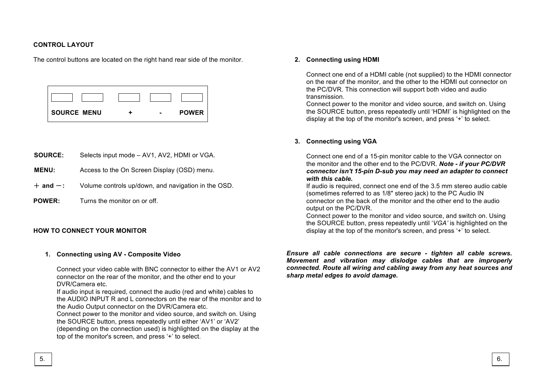## **CONTROL LAYOUT**

The control buttons are located on the right hand rear side of the monitor.

| <b>SOURCE MENU</b> | $\overline{\phantom{0}}$ | <b>POWER</b> |
|--------------------|--------------------------|--------------|

- **SOURCE:** Selects input mode AV1, AV2, HDMI or VGA.
- **MENU:** Access to the On Screen Display (OSD) menu.
- $+$  and  $-$ : Volume controls up/down, and navigation in the OSD.
- **POWER:** Turns the monitor on or off.

#### **HOW TO CONNECT YOUR MONITOR**

#### **1. Connecting using AV - Composite Video**

Connect your video cable with BNC connector to either the AV1 or AV2 connector on the rear of the monitor, and the other end to your DVR/Camera etc.

If audio input is required, connect the audio (red and white) cables to the AUDIO INPUT R and L connectors on the rear of the monitor and to the Audio Output connector on the DVR/Camera etc.

Connect power to the monitor and video source, and switch on. Using the SOURCE button, press repeatedly until either 'AV1' or 'AV2' (depending on the connection used) is highlighted on the display at the top of the monitor's screen, and press '+' to select.

#### **2. Connecting using HDMI**

Connect one end of a HDMI cable (not supplied) to the HDMI connector on the rear of the monitor, and the other to the HDMI out connector on the PC/DVR. This connection will support both video and audio transmission.

Connect power to the monitor and video source, and switch on. Using the SOURCE button, press repeatedly until 'HDMI' is highlighted on the display at the top of the monitor's screen, and press '+' to select.

#### **3. Connecting using VGA**

Connect one end of a 15-pin monitor cable to the VGA connector on the monitor and the other end to the PC/DVR. *Note - if your PC/DVR connector isn't 15-pin D-sub you may need an adapter to connect with this cable.*

If audio is required, connect one end of the 3.5 mm stereo audio cable (sometimes referred to as 1/8" stereo jack) to the PC Audio IN connector on the back of the monitor and the other end to the audio output on the PC/DVR.

Connect power to the monitor and video source, and switch on. Using the SOURCE button, press repeatedly until '*VGA'* is highlighted on the display at the top of the monitor's screen, and press '+' to select.

*Ensure all cable connections are secure - tighten all cable screws. Movement and vibration may dislodge cables that are improperly connected. Route all wiring and cabling away from any heat sources and sharp metal edges to avoid damage.*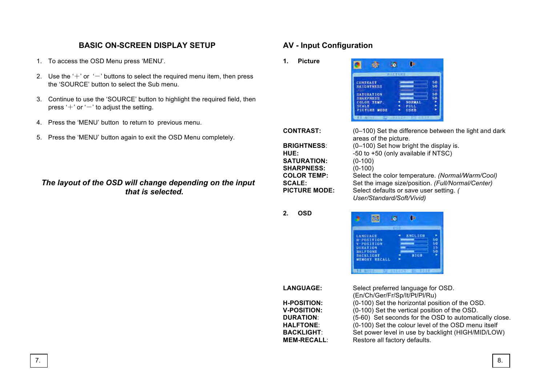# **BASIC ON-SCREEN DISPLAY SETUP**

- 1. To access the OSD Menu press 'MENU'.
- 2. Use the ' $+$ ' or ' $-$ ' buttons to select the required menu item, then press the 'SOURCE' button to select the Sub menu.
- 3. Continue to use the 'SOURCE' button to highlight the required field, then press ' $+$ ' or ' $-$ ' to adjust the setting.
- 4. Press the 'MENU' button to return to previous menu.
- 5. Press the 'MENU' button again to exit the OSD Menu completely.

## *The layout of the OSD will change depending on the input that is selected.*

# **AV - Input Configuration**

**1. Picture**



| <b>CONTRAST:</b>     | (0-100) Set the difference between the light and dark<br>areas of the picture. |
|----------------------|--------------------------------------------------------------------------------|
| <b>BRIGHTNESS:</b>   | (0-100) Set how bright the display is.                                         |
| HUE:                 | -50 to +50 (only available if NTSC)                                            |
| <b>SATURATION:</b>   | $(0-100)$                                                                      |
| <b>SHARPNESS:</b>    | $(0-100)$                                                                      |
| <b>COLOR TEMP:</b>   | Select the color temperature. (Normal/Warm/Cool)                               |
| <b>SCALE:</b>        | Set the image size/position. (Full/Normal/Center)                              |
| <b>PICTURE MODE:</b> | Select defaults or save user setting. (<br>User/Standard/Soft/Vivid)           |
|                      |                                                                                |

**2. OSD**

|                 |                  | OSD |                |    |
|-----------------|------------------|-----|----------------|----|
| <b>LANGUAGE</b> |                  |     | <b>ENGLISH</b> |    |
|                 | H-POSITION       |     |                | 50 |
|                 | V-POSITION       |     |                | o  |
| <b>DURATION</b> |                  |     |                | s  |
| <b>HALFTONE</b> |                  |     |                |    |
|                 | <b>BACKLIGHT</b> |     | <b>NIGH</b>    |    |
|                 | MEMORY RECALL    |     |                |    |

| <b>LANGUAGE:</b>   | Select preferred language for OSD.                     |
|--------------------|--------------------------------------------------------|
|                    | (En/Ch/Ger/Fr/Sp/lt/Pt/Pl/Ru)                          |
| <b>H-POSITION:</b> | (0-100) Set the horizontal position of the OSD.        |
| <b>V-POSITION:</b> | (0-100) Set the vertical position of the OSD.          |
| <b>DURATION:</b>   | (5-60) Set seconds for the OSD to automatically close. |
| <b>HALFTONE:</b>   | (0-100) Set the colour level of the OSD menu itself    |
| <b>BACKLIGHT:</b>  | Set power level in use by backlight (HIGH/MID/LOW)     |
| <b>MEM-RECALL:</b> | Restore all factory defaults.                          |
|                    |                                                        |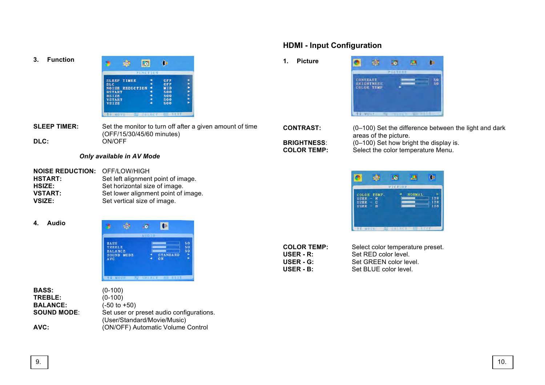**3. Function**

|               |                        | ←               |            |  |
|---------------|------------------------|-----------------|------------|--|
|               |                        | <b>FUNCTION</b> |            |  |
|               | <b>SLEEP TIMER</b>     |                 | OFF        |  |
| <b>DLC</b>    |                        |                 | OFF        |  |
|               | <b>NOISE REDUCTION</b> |                 | <b>MID</b> |  |
| <b>HSTART</b> |                        |                 | 500        |  |
| <b>HSIZE</b>  |                        |                 | 500        |  |
| <b>VSTART</b> |                        |                 | 500        |  |
| <b>VSIZE</b>  |                        |                 | 500        |  |

**SLEEP TIMER:** Set the monitor to turn off after a given amount of time (OFF/15/30/45/60 minutes) **DLC:** ON/OFF

## *Only available in AV Mode*

- **NOISE REDUCTION: OFF/LOW/HIGH<br><b>HSTART:** Set left alignment Set left alignment point of image. HSIZE: Set horizontal size of image. **VSTART:** Set lower alignment point of image. **VSIZE:** Set vertical size of image.
- **4. Audio**



| BASS:           | $(0-100)$                                |
|-----------------|------------------------------------------|
| TREBLE:         | $(0-100)$                                |
| <b>BALANCE:</b> | $(-50 \text{ to } +50)$                  |
| SOUND MODE:     | Set user or preset audio configurations. |
|                 | (User/Standard/Movie/Music)              |
| AVC:            | (ON/OFF) Automatic Volume Control        |

# **HDMI - Input Configuration**

**1. Picture**



**CONTRAST:** (0–100) Set the difference between the light and dark areas of the picture. **BRIGHTNESS:** (0–100) Set how bright the display is.<br>**COLOR TEMP:** Select the color temperature Menu. Select the color temperature Menu.

|             |                    | <b>PICTURE</b> |               |     |
|-------------|--------------------|----------------|---------------|-----|
|             | <b>COLOR TEMP.</b> |                | <b>NORMAL</b> |     |
| $USER = R$  |                    |                |               | 128 |
| <b>USER</b> | G<br>$\sim$        |                |               | 128 |
| $USER - B$  |                    |                |               | 128 |

| <b>COLOR TEMP:</b> | Select color temperature preset. |
|--------------------|----------------------------------|
| USER - R:          | Set RED color level.             |
| USER - G:          | Set GREEN color level.           |
| USER - B:          | Set BLUE color level.            |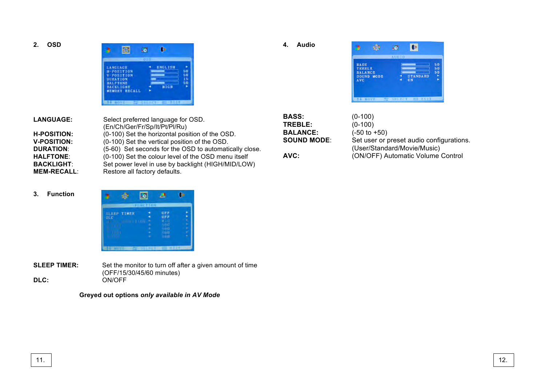**2. OSD**



**4. Audio**



| <b>LANGUAGE:</b>   | Select preferred language for OSD.<br>(En/Ch/Ger/Fr/Sp/It/Pt/Pl/Ru) |
|--------------------|---------------------------------------------------------------------|
| <b>H-POSITION:</b> | (0-100) Set the horizontal position of the OSD.                     |
| <b>V-POSITION:</b> | (0-100) Set the vertical position of the OSD.                       |
| <b>DURATION:</b>   | (5-60) Set seconds for the OSD to automatically close.              |
| <b>HALFTONE:</b>   | (0-100) Set the colour level of the OSD menu itself                 |
| <b>BACKLIGHT:</b>  | Set power level in use by backlight (HIGH/MID/LOW)                  |
| <b>MEM-RECALL:</b> | Restore all factory defaults.                                       |

| BASS:              | $(0-100)$                                |
|--------------------|------------------------------------------|
| <b>TREBLE:</b>     | $(0-100)$                                |
| <b>BALANCE:</b>    | $(-50 to +50)$                           |
| <b>SOUND MODE:</b> | Set user or preset audio configurations. |
|                    | (User/Standard/Movie/Music)              |
| AVC:               | (ON/OFF) Automatic Volume Control        |

#### **3. Function**



**SLEEP TIMER:** Set the monitor to turn off after a given amount of time (OFF/15/30/45/60 minutes) **DLC:** ON/OFF

**Greyed out options** *only available in AV Mode*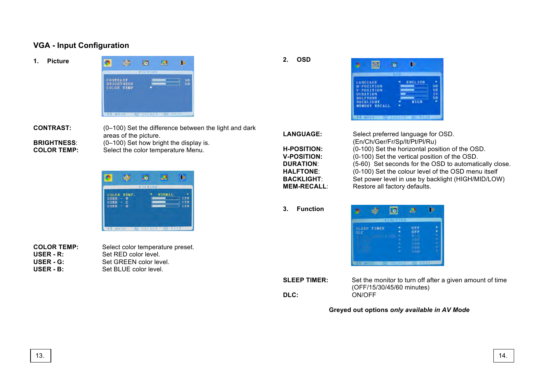# **VGA - Input Configuration**

**1. Picture**



**CONTRAST:** (0–100) Set the difference between the light and dark areas of the picture. **BRIGHTNESS:** (0–100) Set how bright the display is.<br>**COLOR TEMP:** Select the color temperature Menu. Select the color temperature Menu.

> 凾 **RB** E  $\bullet$ COLOR TEMP.<br>USER – R<br>USER – G<br>USER – B NORMAL  $\begin{array}{c} 128 \\ 128 \end{array}$

**COLOR TEMP:** Select color temperature preset. **USER - R:** Set RED color level. **USER - G:** Set GREEN color level. **USER - B:** Set BLUE color level.

**2. OSD**



**LANGUAGE:** Select preferred language for OSD. (En/Ch/Ger/Fr/Sp/It/Pt/Pl/Ru) **H-POSITION:** (0-100) Set the horizontal position of the OSD. **V-POSITION:** (0-100) Set the vertical position of the OSD. **DURATION:** (5-60) Set seconds for the OSD to automatically close. **HALFTONE**: (0-100) Set the colour level of the OSD menu itself **BACKLIGHT**: Set power level in use by backlight (HIGH/MID/LOW) **MEM-RECALL:** Restore all factory defaults.

**3. Function**



**DLC:** ON/OFF

**SLEEP TIMER:** Set the monitor to turn off after a given amount of time (OFF/15/30/45/60 minutes)

**Greyed out options** *only available in AV Mode*